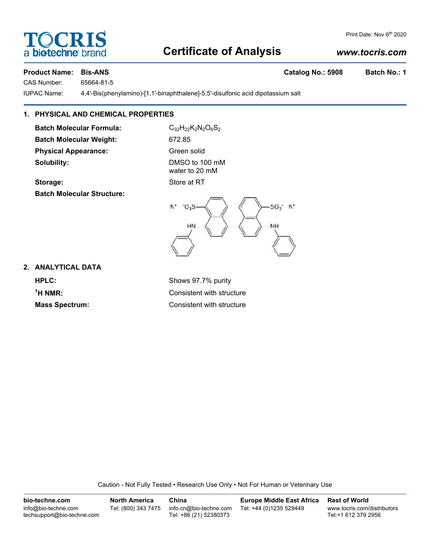# **Certificate of Analysis**

## *www.tocris.com*

Print Date: Nov 6<sup>th</sup> 2020

## **Product Name: Bis-ANS Catalog No.: 5908 Batch No.: 1**

CAS Number: 65664-81-5

IUPAC Name: 4,4'-Bis(phenylamino)-[1,1'-binaphthalene]-5,5'-disulfonic acid dipotassium salt

## **1. PHYSICAL AND CHEMICAL PROPERTIES**

**Batch Molecular Formula:** C<sub>32</sub>H<sub>22</sub>K<sub>2</sub>N<sub>2</sub>O<sub>6</sub>S<sub>2</sub> **Batch Molecular Weight:** 672.85 **Physical Appearance:** Green solid **Solubility:** DMSO to 100 mM

water to 20 mM





### **2. ANALYTICAL DATA**

**HPLC:** Shows 97.7% purity <sup>1</sup>H NMR:

**Consistent with structure Mass Spectrum:** Consistent with structure

Caution - Not Fully Tested • Research Use Only • Not For Human or Veterinary Use

**bio-techne.com** info@bio-techne.com techsupport@bio-techne.com **North America** Tel: (800) 343 7475 **China** info.cn@bio-techne.com Tel: +86 (21) 52380373 **Europe Middle East Africa** Tel: +44 (0)1235 529449 **Rest of World** www.tocris.com/distributors Tel:+1 612 379 2956